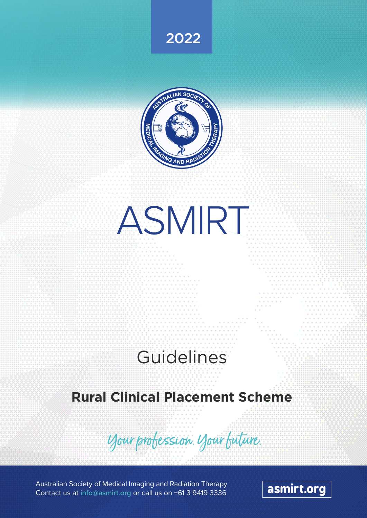



ASMIRT

# **Guidelines**

# **Rural Clinical Placement Scheme**

Your profession your future.

Australian Society of Medical Imaging and Radiation Therapy Contact us at info@asmirt.org or call us on +61 3 9419 3336

asmirt.org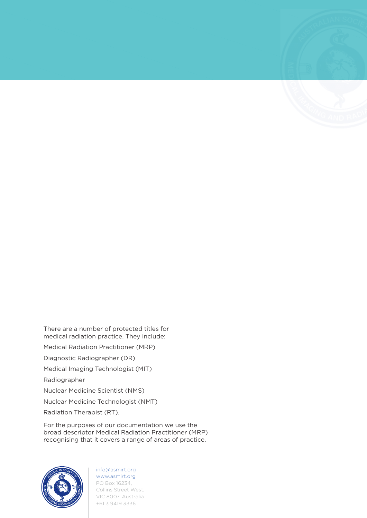There are a number of protected titles for medical radiation practice. They include: Medical Radiation Practitioner (MRP) Diagnostic Radiographer (DR) Medical Imaging Technologist (MIT) Radiographer Nuclear Medicine Scientist (NMS) Nuclear Medicine Technologist (NMT)

Radiation Therapist (RT).

For the purposes of our documentation we use the broad descriptor Medical Radiation Practitioner (MRP) recognising that it covers a range of areas of practice.

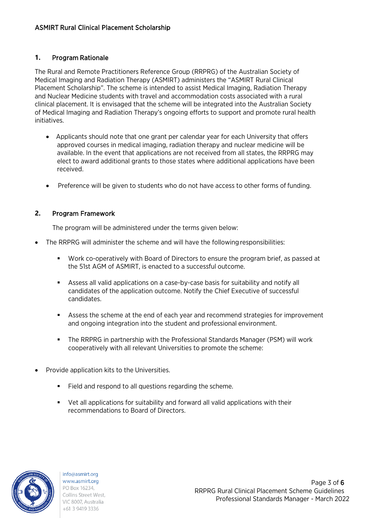### **1.** Program Rationale

The Rural and Remote Practitioners Reference Group (RRPRG) of the Australian Society of Medical Imaging and Radiation Therapy (ASMIRT) administers the "ASMIRT Rural Clinical Placement Scholarship". The scheme is intended to assist Medical Imaging, Radiation Therapy and Nuclear Medicine students with travel and accommodation costs associated with a rural clinical placement. It is envisaged that the scheme will be integrated into the Australian Society of Medical Imaging and Radiation Therapy's ongoing efforts to support and promote rural health initiatives.

- Applicants should note that one grant per calendar year for each University that offers approved courses in medical imaging, radiation therapy and nuclear medicine will be available. In the event that applications are not received from all states, the RRPRG may elect to award additional grants to those states where additional applications have been received.
- Preference will be given to students who do not have access to other forms of funding.

### **2.** Program Framework

The program will be administered under the terms given below:

- The RRPRG will administer the scheme and will have the following responsibilities:
	- Work co-operatively with Board of Directors to ensure the program brief, as passed at the 51st AGM of ASMIRT, is enacted to a successful outcome.
	- Assess all valid applications on a case-by-case basis for suitability and notify all candidates of the application outcome. Notify the Chief Executive of successful candidates.
	- Assess the scheme at the end of each year and recommend strategies for improvement and ongoing integration into the student and professional environment.
	- The RRPRG in partnership with the Professional Standards Manager (PSM) will work cooperatively with all relevant Universities to promote the scheme:
- Provide application kits to the Universities.
	- Field and respond to all questions regarding the scheme.
	- Vet all applications for suitability and forward all valid applications with their recommendations to Board of Directors.

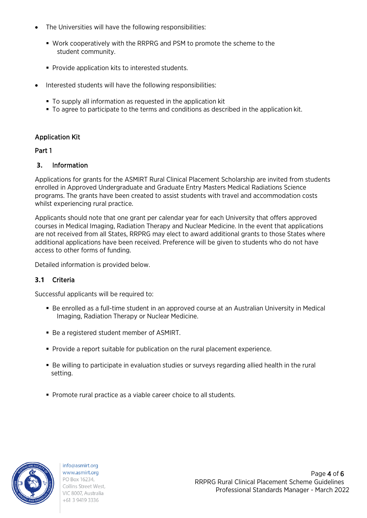- The Universities will have the following responsibilities:
	- Work cooperatively with the RRPRG and PSM to promote the scheme to the student community.
	- **Provide application kits to interested students.**
- Interested students will have the following responsibilities:
	- To supply all information as requested in the application kit
	- To agree to participate to the terms and conditions as described in the application kit.

### Application Kit

### Part 1

### **3.** Information

Applications for grants for the ASMIRT Rural Clinical Placement Scholarship are invited from students enrolled in Approved Undergraduate and Graduate Entry Masters Medical Radiations Science programs. The grants have been created to assist students with travel and accommodation costs whilst experiencing rural practice.

Applicants should note that one grant per calendar year for each University that offers approved courses in Medical Imaging, Radiation Therapy and Nuclear Medicine. In the event that applications are not received from all States, RRPRG may elect to award additional grants to those States where additional applications have been received. Preference will be given to students who do not have access to other forms of funding.

Detailed information is provided below.

### **3.1** Criteria

Successful applicants will be required to:

- Be enrolled as a full-time student in an approved course at an Australian University in Medical Imaging, Radiation Therapy or Nuclear Medicine.
- Be a registered student member of ASMIRT.
- Provide a report suitable for publication on the rural placement experience.
- Be willing to participate in evaluation studies or surveys regarding allied health in the rural setting.
- **Promote rural practice as a viable career choice to all students.**

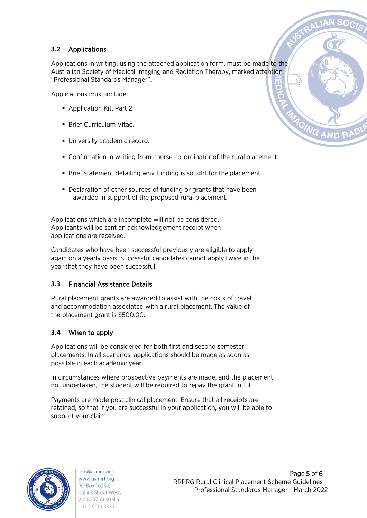# **3.2** Applications

Applications in writing, using the attached application form, must be made to the Australian Society of Medical Imaging and Radiation Therapy, marked attention "Professional Standards Manager".

Applications must include:

- Application Kit, Part 2
- **Brief Curriculum Vitae.**
- **University academic record.**
- Confirmation in writing from course co-ordinator of the rural placement.
- Brief statement detailing why funding is sought for the placement.
- Declaration of other sources of funding or grants that have been awarded in support of the proposed rural placement.

Applications which are incomplete will not be considered. Applicants will be sent an acknowledgement receipt when applications are received.

Candidates who have been successful previously are eligible to apply again on a yearly basis. Successful candidates cannot apply twice in the year that they have been successful.

# **3.3** Financial Assistance Details

Rural placement grants are awarded to assist with the costs of travel and accommodation associated with a rural placement. The value of the placement grant is \$500.00.

# **3.4** When to apply

Applications will be considered for both first and second semester placements. In all scenarios, applications should be made as soon as possible in each academic year.

In circumstances where prospective payments are made, and the placement not undertaken, the student will be required to repay the grant in full.

Payments are made post clinical placement. Ensure that all receipts are retained, so that if you are successful in your application, you will be able to support your claim.